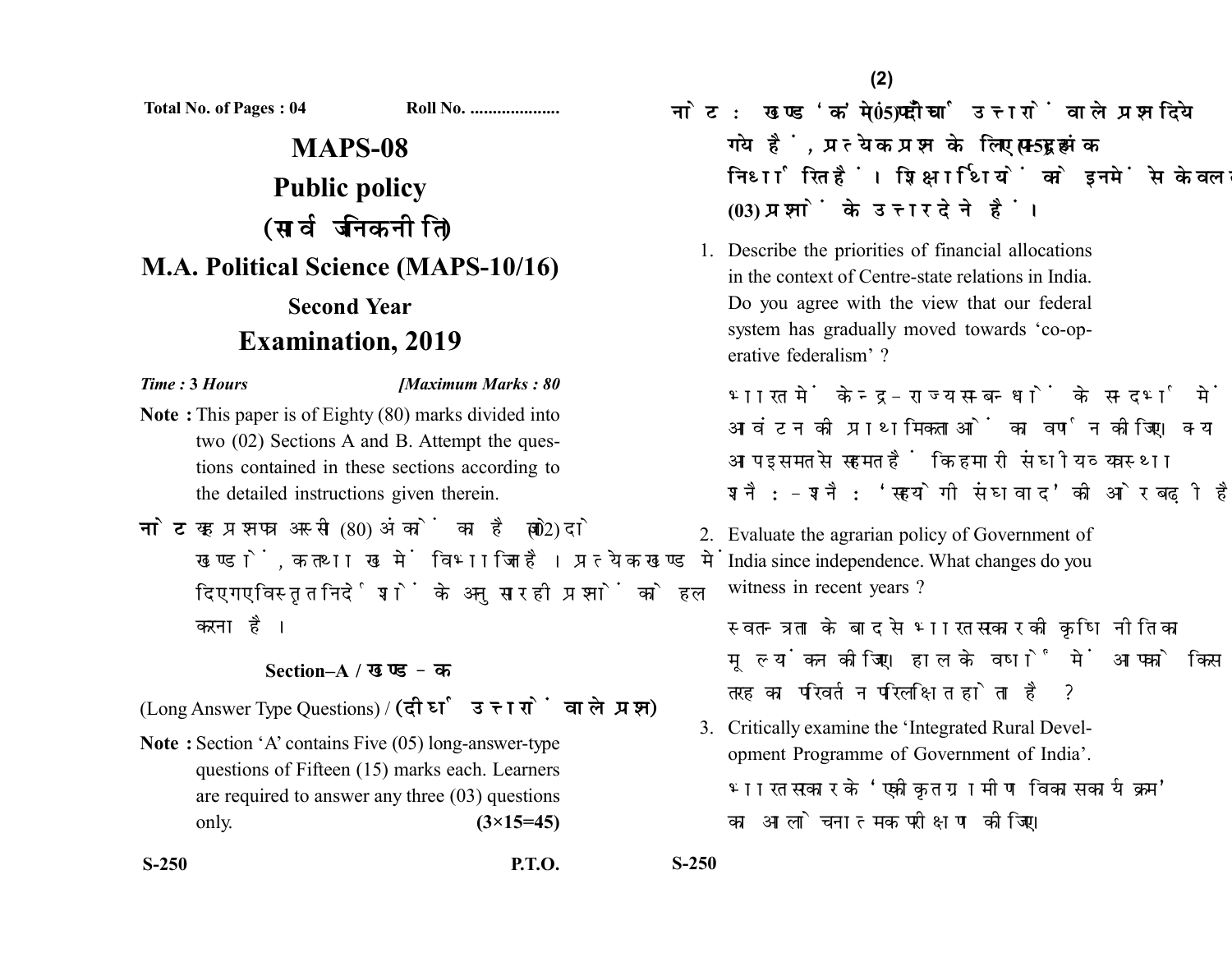**Total No. of Pages : 04 Roll No. ....................**

# **MAPS-08 Public policy** (सार्वजनिक नीति) **M.A. Political Science (MAPS-10/16) Second Year Examination, 2019**

### *Time :* **3** *Hours [Maximum Marks : 80*

- **Note :** This paper is of Eighty (80) marks divided into two (02) Sections A and B. Attempt the questions contained in these sections according to the detailed instructions given therein.
- नोट: यह प्रश्नपत्र अस्सी (80) अंकों का है जो दो (02) खण्डों. क तथा ख में विभाजित है। प्रत्येक खण्ड में दिए गए विस्तृत निर्देशों के अनुसार ही प्रश्नों को हल करना है।

## **Section–A /**

(Long Answer Type Questions) / (दीर्घ उत्तरों वाले प्रश्न)

**Note :** Section 'A' contains Five (05) long-answer-type questions of Fifteen (15) marks each. Learners are required to answer any three (03) questions only. **(3×15=45)**

- <u>नोट: खण्ड'क'में पाँच (05) दीर्घ उत्तरों वाले प्रश्न दिये</u> गये हैं, प्रत्येक प्रश्न के लिए पन्दह (15) अंक निर्धारित हैं। शिक्षार्थियों को इनमें से केवल तीन **(03)** 
	- 1. Describe the priorities of financial allocations in the context of Centre-state relations in India. Do you agree with the view that our federal system has gradually moved towards 'co-operative federalism' ?

भारत में केन्द-राज्य सम्बन्धों के सन्दर्भ में वित्तीय आवंटन की प्राथमिकताओं का वर्णन कोजिए। क्या आप इस मत से सहमत हैं कि हमारी संघीय व्यवस्था शनै:-शनै: 'सहयोगी संघवाद' की ओर बढ़ी है ?

2. Evaluate the agrarian policy of Government of India since independence. What changes do you witness in recent years?

स्वतन्त्रता के बाद से भारत सरकार की कषि नीति का मल्यांकन कीजिए। हाल के वर्षों में आपको किस तरह का परिवर्तन परिलक्षित होता है ?

3. Critically examine the 'Integrated Rural Development Programme of Government of India'. भारत सरकार के 'एकीकृत ग्रामीण विकास कार्यक्रम' का आलोचनात्मक परीक्षण कोजिए।